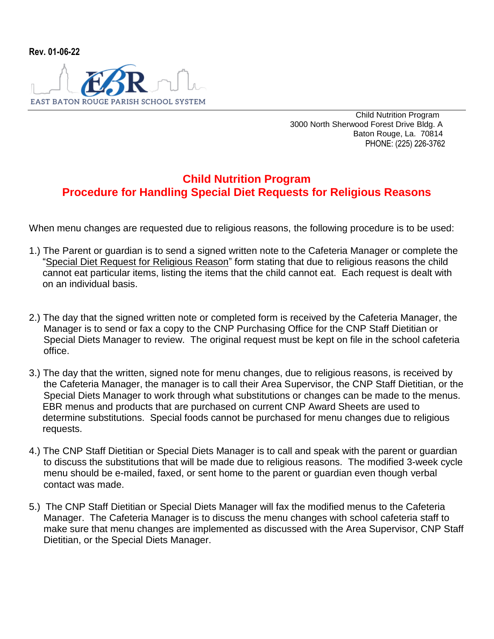

 Child Nutrition Program 3000 North Sherwood Forest Drive Bldg. A Baton Rouge, La. 70814 PHONE: (225) 226-3762

## **Child Nutrition Program Procedure for Handling Special Diet Requests for Religious Reasons**

When menu changes are requested due to religious reasons, the following procedure is to be used:

- 1.) The Parent or guardian is to send a signed written note to the Cafeteria Manager or complete the "Special Diet Request for Religious Reason" form stating that due to religious reasons the child cannot eat particular items, listing the items that the child cannot eat. Each request is dealt with on an individual basis.
- 2.) The day that the signed written note or completed form is received by the Cafeteria Manager, the Manager is to send or fax a copy to the CNP Purchasing Office for the CNP Staff Dietitian or Special Diets Manager to review. The original request must be kept on file in the school cafeteria office.
- 3.) The day that the written, signed note for menu changes, due to religious reasons, is received by the Cafeteria Manager, the manager is to call their Area Supervisor, the CNP Staff Dietitian, or the Special Diets Manager to work through what substitutions or changes can be made to the menus. EBR menus and products that are purchased on current CNP Award Sheets are used to determine substitutions. Special foods cannot be purchased for menu changes due to religious requests.
- 4.) The CNP Staff Dietitian or Special Diets Manager is to call and speak with the parent or guardian to discuss the substitutions that will be made due to religious reasons. The modified 3-week cycle menu should be e-mailed, faxed, or sent home to the parent or guardian even though verbal contact was made.
- 5.) The CNP Staff Dietitian or Special Diets Manager will fax the modified menus to the Cafeteria Manager. The Cafeteria Manager is to discuss the menu changes with school cafeteria staff to make sure that menu changes are implemented as discussed with the Area Supervisor, CNP Staff Dietitian, or the Special Diets Manager.